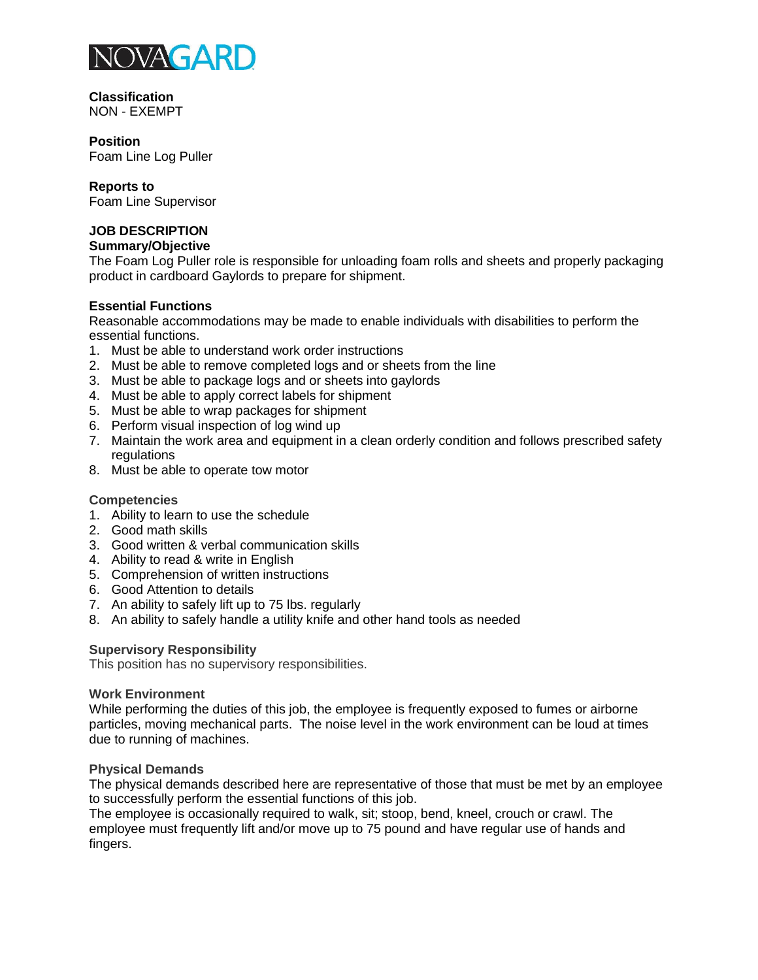

**Classification** NON - EXEMPT

# **Position**

Foam Line Log Puller

## **Reports to**

Foam Line Supervisor

## **JOB DESCRIPTION**

## **Summary/Objective**

The Foam Log Puller role is responsible for unloading foam rolls and sheets and properly packaging product in cardboard Gaylords to prepare for shipment.

## **Essential Functions**

Reasonable accommodations may be made to enable individuals with disabilities to perform the essential functions.

- 1. Must be able to understand work order instructions
- 2. Must be able to remove completed logs and or sheets from the line
- 3. Must be able to package logs and or sheets into gaylords
- 4. Must be able to apply correct labels for shipment
- 5. Must be able to wrap packages for shipment
- 6. Perform visual inspection of log wind up
- 7. Maintain the work area and equipment in a clean orderly condition and follows prescribed safety regulations
- 8. Must be able to operate tow motor

## **Competencies**

- 1. Ability to learn to use the schedule
- 2. Good math skills
- 3. Good written & verbal communication skills
- 4. Ability to read & write in English
- 5. Comprehension of written instructions
- 6. Good Attention to details
- 7. An ability to safely lift up to 75 lbs. regularly
- 8. An ability to safely handle a utility knife and other hand tools as needed

## **Supervisory Responsibility**

This position has no supervisory responsibilities.

#### **Work Environment**

While performing the duties of this job, the employee is frequently exposed to fumes or airborne particles, moving mechanical parts. The noise level in the work environment can be loud at times due to running of machines.

## **Physical Demands**

The physical demands described here are representative of those that must be met by an employee to successfully perform the essential functions of this job.

The employee is occasionally required to walk, sit; stoop, bend, kneel, crouch or crawl. The employee must frequently lift and/or move up to 75 pound and have regular use of hands and fingers.